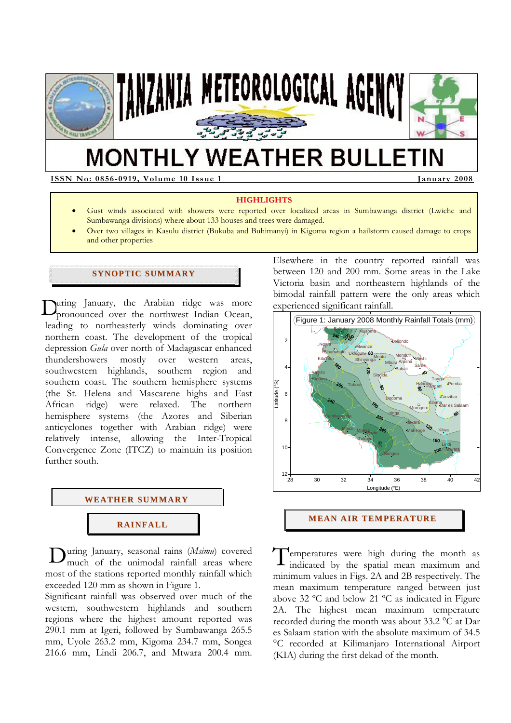

# **MONTHLY WEATHER BULLETIN**

**ISSN No: 0856-0919, Volume 10 Issue 1** January 2008

#### **HIGHLIGHTS**

- Gust winds associated with showers were reported over localized areas in Sumbawanga district (Lwiche and Sumbawanga divisions) where about 133 houses and trees were damaged.
- Over two villages in Kasulu district (Bukuba and Buhimanyi) in Kigoma region a hailstorm caused damage to crops and other properties

# **SYNOPTIC SUMMARY**

uring January, the Arabian ridge was more During January, the Arabian ridge was more pronounced over the northwest Indian Ocean, leading to northeasterly winds dominating over northern coast. The development of the tropical depression *Gula* over north of Madagascar enhanced thundershowers mostly over western areas, southwestern highlands, southern region and southern coast. The southern hemisphere systems (the St. Helena and Mascarene highs and East African ridge) were relaxed. The northern hemisphere systems (the Azores and Siberian anticyclones together with Arabian ridge) were relatively intense, allowing the Inter-Tropical Convergence Zone (ITCZ) to maintain its position further south.



During January, seasonal rains (*Msimu*) covered T<br>much of the unimodal rainfall areas where much of the unimodal rainfall areas where most of the stations reported monthly rainfall which exceeded 120 mm as shown in Figure 1.

Significant rainfall was observed over much of the western, southwestern highlands and southern regions where the highest amount reported was 290.1 mm at Igeri, followed by Sumbawanga 265.5 mm, Uyole 263.2 mm, Kigoma 234.7 mm, Songea 216.6 mm, Lindi 206.7, and Mtwara 200.4 mm.

Elsewhere in the country reported rainfall was between 120 and 200 mm. Some areas in the Lake Victoria basin and northeastern highlands of the bimodal rainfall pattern were the only areas which experienced significant rainfall.



#### **MEAN AIR TEMPERATURE**

emperatures were high during the month as indicated by the spatial mean maximum and minimum values in Figs. 2A and 2B respectively. The mean maximum temperature ranged between just above 32 ºC and below 21 ºC as indicated in Figure 2A. The highest mean maximum temperature recorded during the month was about 33.2 °C at Dar es Salaam station with the absolute maximum of 34.5 °C recorded at Kilimanjaro International Airport (KIA) during the first dekad of the month.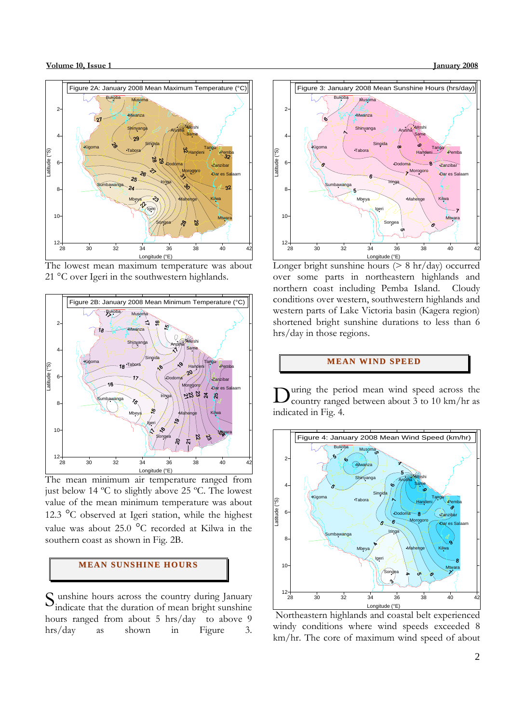

The lowest mean maximum temperature was about 21 °C over Igeri in the southwestern highlands.



The mean minimum air temperature ranged from just below 14 ºC to slightly above 25 ºC. The lowest value of the mean minimum temperature was about 12.3 °C observed at Igeri station, while the highest value was about 25.0 °C recorded at Kilwa in the southern coast as shown in Fig. 2B.

# **MEAN SUNSHINE HOURS**

S unshine hours across the country during January<br>indicate that the duration of mean bright sunshine indicate that the duration of mean bright sunshine hours ranged from about 5 hrs/day to above 9 hrs/day as shown in Figure 3.



Longer bright sunshine hours  $($  > 8 hr/day) occurred over some parts in northeastern highlands and northern coast including Pemba Island. Cloudy conditions over western, southwestern highlands and western parts of Lake Victoria basin (Kagera region) shortened bright sunshine durations to less than 6 hrs/day in those regions.

## **MEAN WI ND SPEED**

uring the period mean wind speed across the country ranged between about 3 to 10 km/hr as indicated in Fig. 4. D



 Northeastern highlands and coastal belt experienced windy conditions where wind speeds exceeded 8 km/hr. The core of maximum wind speed of about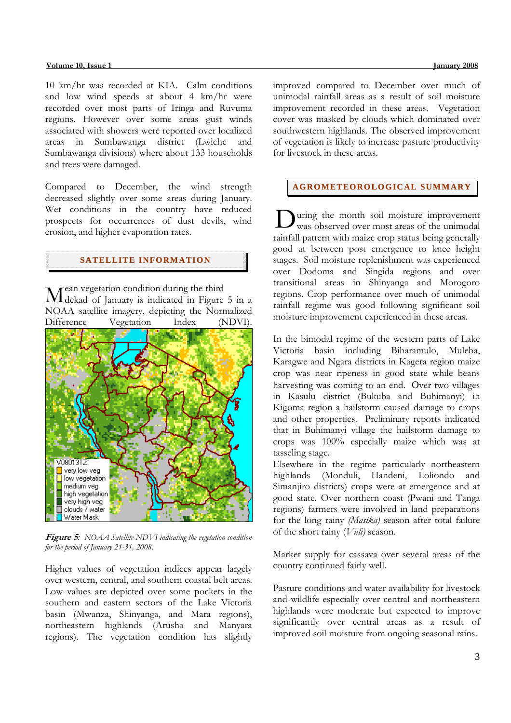#### **Volume 10, Issue 1** January 2008

10 km/hr was recorded at KIA. Calm conditions and low wind speeds at about 4 km/hr were recorded over most parts of Iringa and Ruvuma regions. However over some areas gust winds associated with showers were reported over localized areas in Sumbawanga district (Lwiche and Sumbawanga divisions) where about 133 households and trees were damaged.

Compared to December, the wind strength decreased slightly over some areas during January. Wet conditions in the country have reduced prospects for occurrences of dust devils, wind erosion, and higher evaporation rates.

## **SATELLITE I NFORMATI ON**

ean vegetation condition during the third Mean vegetation condition during the third<br>Meekad of January is indicated in Figure 5 in a NOAA satellite imagery, depicting the Normalized Difference Vegetation Index (NDVI).



**Figure 5***: NOAA Satellite NDVI indicating the vegetation condition for the period of January 21-31, 2008.* 

Higher values of vegetation indices appear largely over western, central, and southern coastal belt areas. Low values are depicted over some pockets in the southern and eastern sectors of the Lake Victoria basin (Mwanza, Shinyanga, and Mara regions), northeastern highlands (Arusha and Manyara regions). The vegetation condition has slightly

improved compared to December over much of unimodal rainfall areas as a result of soil moisture improvement recorded in these areas. Vegetation cover was masked by clouds which dominated over southwestern highlands. The observed improvement of vegetation is likely to increase pasture productivity for livestock in these areas.

## **AGROMETEOROLOGICAL SUMMARY**

uring the month soil moisture improvement During the month soil moisture improvement<br>was observed over most areas of the unimodal rainfall pattern with maize crop status being generally good at between post emergence to knee height stages. Soil moisture replenishment was experienced over Dodoma and Singida regions and over transitional areas in Shinyanga and Morogoro regions. Crop performance over much of unimodal rainfall regime was good following significant soil moisture improvement experienced in these areas.

In the bimodal regime of the western parts of Lake Victoria basin including Biharamulo, Muleba, Karagwe and Ngara districts in Kagera region maize crop was near ripeness in good state while beans harvesting was coming to an end. Over two villages in Kasulu district (Bukuba and Buhimanyi) in Kigoma region a hailstorm caused damage to crops and other properties. Preliminary reports indicated that in Buhimanyi village the hailstorm damage to crops was 100% especially maize which was at tasseling stage.

Elsewhere in the regime particularly northeastern highlands (Monduli, Handeni, Loliondo and Simanjiro districts) crops were at emergence and at good state. Over northern coast (Pwani and Tanga regions) farmers were involved in land preparations for the long rainy *(Masika)* season after total failure of the short rainy (*Vuli)* season.

Market supply for cassava over several areas of the country continued fairly well.

Pasture conditions and water availability for livestock and wildlife especially over central and northeastern highlands were moderate but expected to improve significantly over central areas as a result of improved soil moisture from ongoing seasonal rains.